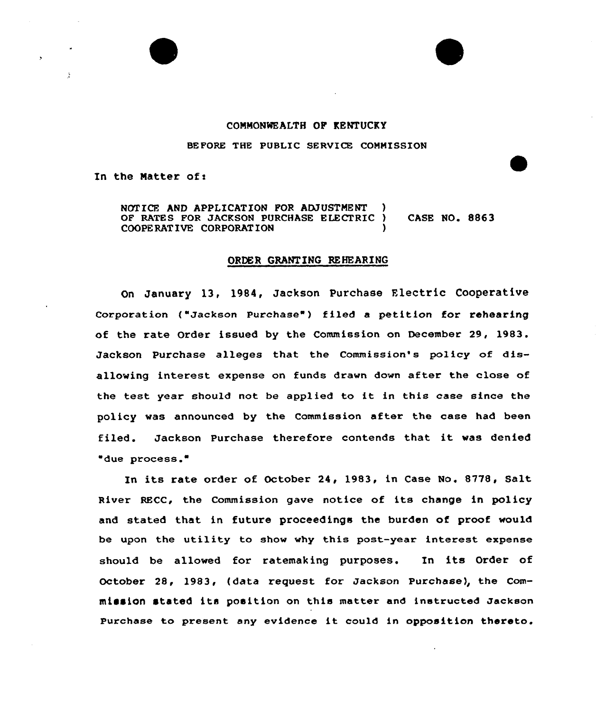

## COMMONWEALTH OP KENTUCKY

BEFORE THE PUBLIC SERVICE COMMISSION

In the Matter of:

NOTICE AND APPLICATION FOR ADJUSTMENT OF RATES FOR JACKSON PURCHASE ELECTRIC ) CASE NO. 8863 COOPE RAT IVE CORPORAT ION )

## ORDER GRANTING REHEARING

On January 13, 1984, Jackson Purchase Electric Cooperative Corporation ("Jackson Purchase") filed a petition for rehearing of the rate Order issued by the Commission on December 29, 1983. Jackson Purchase alleges that the Commission's policy of disallowing interest expense on funds drawn down after the close of the test year should not be applied to it in this case since the policy was announced by the Commission after the case had been filed. Jackson Purchase therefore contends that it was denied due process.

In its rate order of October 24, 1983, in Case No. 8778, Salt. River RECC, the Commission gave notice of its change in policy and stated that in future proceedings the burden of proof would be upon the utility to show why this post-year interest expense should be allowed for ratemaking purposes. In its Order of October 28, 1983, (data request for Jackson purchase), the Commission stated its position on this matter and instructed Jackson Purchase to present any evidence it could in opposition thereto.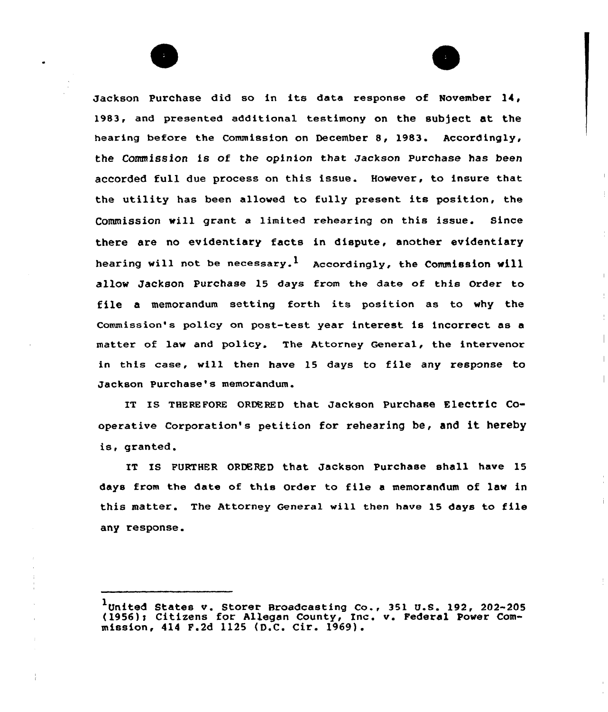Jackson Purchase did so in its data response of November 14, 1983, and presented additional testimony on the subject at the hearing before the Commission on December 8, 1983. Accordingly, the Commission is of the opinion that Jackson Purchase has been accorded full due process on this issue. However, to insure that the utility has been allowed to fully present its position, the Commission will grant a limited rehearing on this issue. Since there are no evidentiary facts in dispute, another evidentiary hearing will not be necessary.<sup>1</sup> Accordingly, the Commission will allow Jackson Purchase 15 days from the date of this Order to file <sup>a</sup> memorandum setting forth its position as to why the commission's policy on post-test year interest is incorrect as <sup>a</sup> matter of law and policy. The Attorney General, the intervenor in this case, will then have 15 days to file any response to Jackson Purchase's memorandum.

IT IS THEREFQRE oRDERED that Jackson Purchase Electric cooperative Corporation's petition for rehearing be, and it hereby is, granted.

IT IS FURTHER ORDERED that Jackson Purchase shall have 15 days from the date of this Order to file <sup>a</sup> memorandum of lav in this matter. The Attorney General will then have 15 days to file any response.

<sup>1</sup>United States v. Storer Broadcasting Co., 351 U.S. 192, 202-205 (1956); Citizens for Allegan County, Inc. v. Federal Power Commission, 414 F.2d 1125 (D.C. Cir. 1969).